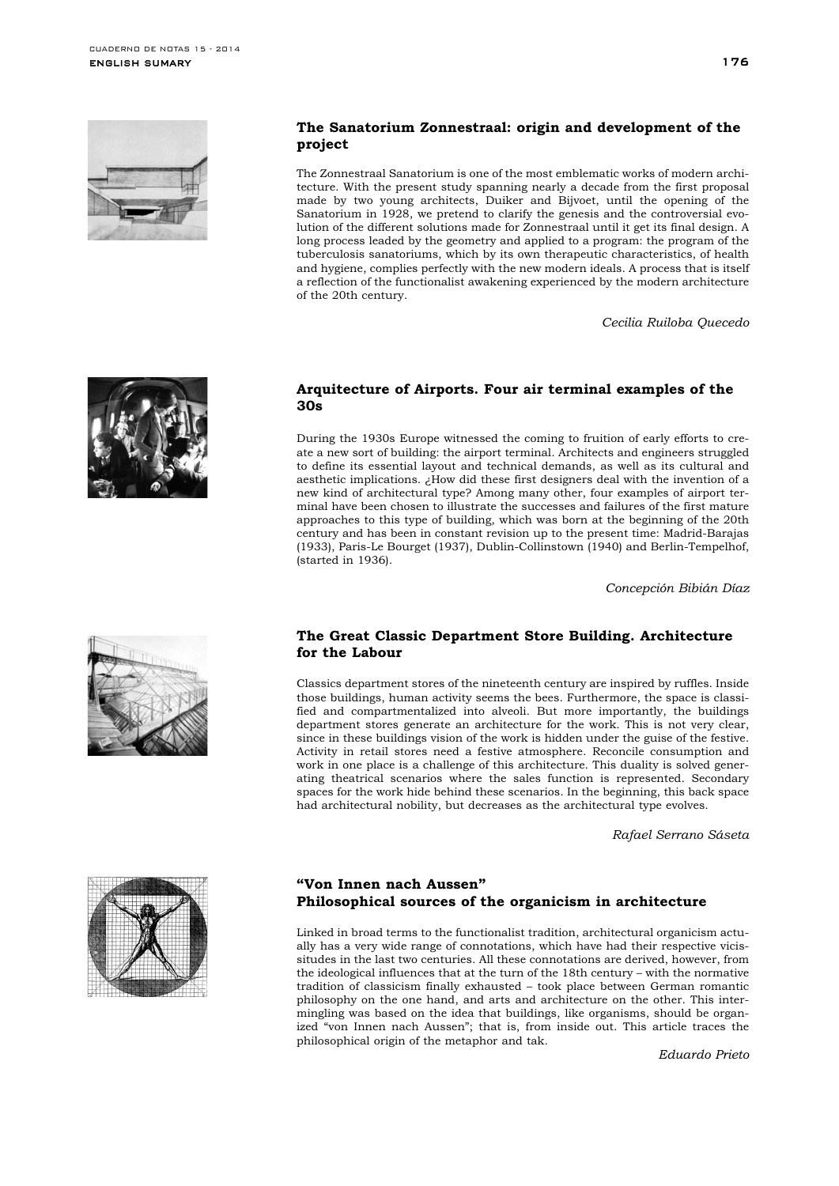

## **The Sanatorium Zonnestraal: origin and development of the project**

The Zonnestraal Sanatorium is one of the most emblematic works of modern architecture. With the present study spanning nearly a decade from the first proposal made by two young architects, Duiker and Bijvoet, until the opening of the Sanatorium in 1928, we pretend to clarify the genesis and the controversial evolution of the different solutions made for Zonnestraal until it get its final design. A long process leaded by the geometry and applied to a program: the program of the tuberculosis sanatoriums, which by its own therapeutic characteristics, of health and hygiene, complies perfectly with the new modern ideals. A process that is itself a reflection of the functionalist awakening experienced by the modern architecture of the 20th century.

*Cecilia Ruiloba Quecedo*



#### **Arquitecture of Airports. Four air terminal examples of the 30s**

During the 1930s Europe witnessed the coming to fruition of early efforts to create a new sort of building: the airport terminal. Architects and engineers struggled to define its essential layout and technical demands, as well as its cultural and aesthetic implications. ¿How did these first designers deal with the invention of a new kind of architectural type? Among many other, four examples of airport terminal have been chosen to illustrate the successes and failures of the first mature approaches to this type of building, which was born at the beginning of the 20th century and has been in constant revision up to the present time: Madrid-Barajas (1933), Paris-Le Bourget (1937), Dublin-Collinstown (1940) and Berlin-Tempelhof, (started in 1936).

*Concepción Bibián Díaz*

## **The Great Classic Department Store Building. Architecture for the Labour**

Classics department stores of the nineteenth century are inspired by ruffles. Inside those buildings, human activity seems the bees. Furthermore, the space is classified and compartmentalized into alveoli. But more importantly, the buildings department stores generate an architecture for the work. This is not very clear, since in these buildings vision of the work is hidden under the guise of the festive. Activity in retail stores need a festive atmosphere. Reconcile consumption and work in one place is a challenge of this architecture. This duality is solved generating theatrical scenarios where the sales function is represented. Secondary spaces for the work hide behind these scenarios. In the beginning, this back space had architectural nobility, but decreases as the architectural type evolves.

*Rafael Serrano Sáseta*



## **"Von Innen nach Aussen" Philosophical sources of the organicism in architecture**

Linked in broad terms to the functionalist tradition, architectural organicism actually has a very wide range of connotations, which have had their respective vicissitudes in the last two centuries. All these connotations are derived, however, from the ideological influences that at the turn of the 18th century – with the normative tradition of classicism finally exhausted – took place between German romantic philosophy on the one hand, and arts and architecture on the other. This intermingling was based on the idea that buildings, like organisms, should be organized "von Innen nach Aussen"; that is, from inside out. This article traces the philosophical origin of the metaphor and tak.

*Eduardo Prieto*

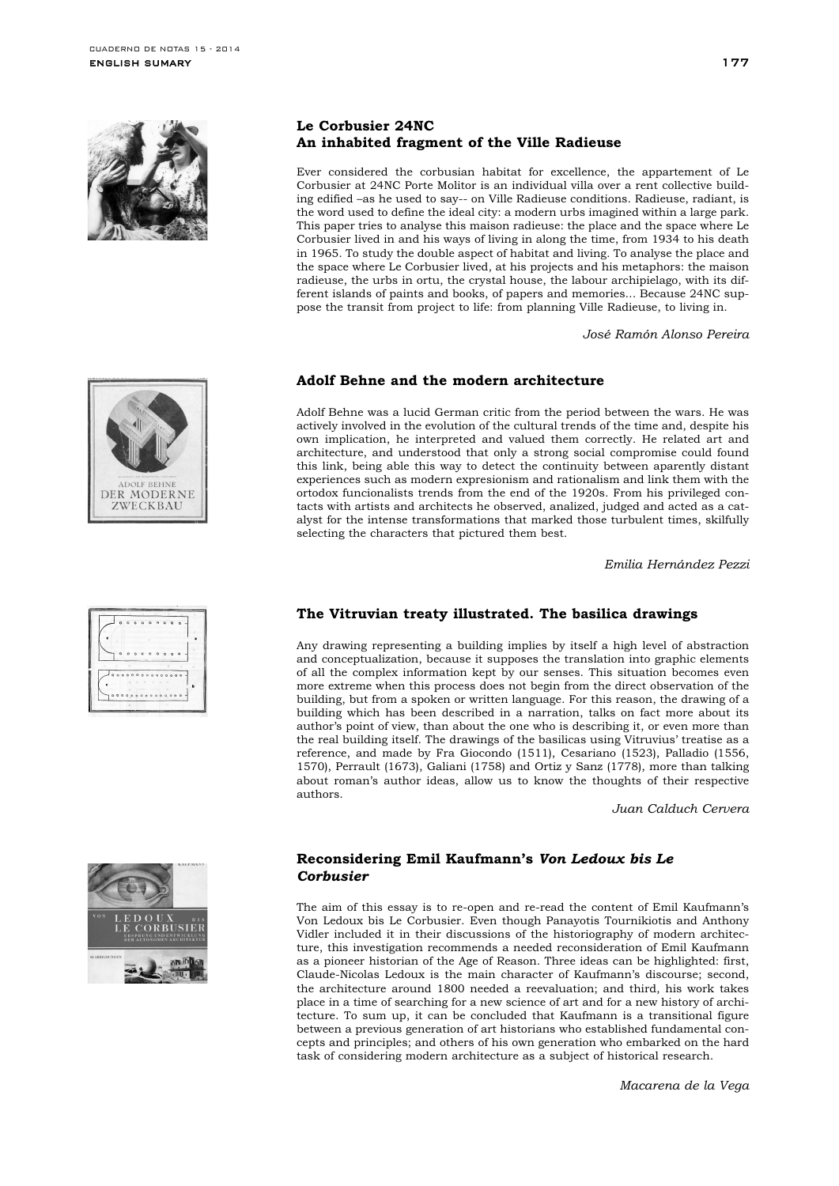



| 0000              |     | n<br>Ó      |  | $\overline{ }$                    |  |
|-------------------|-----|-------------|--|-----------------------------------|--|
|                   |     |             |  |                                   |  |
| n                 |     | ۰<br>$\sim$ |  | $\circ$                           |  |
|                   |     |             |  |                                   |  |
| 0.000000000000000 |     |             |  |                                   |  |
|                   | 0.0 |             |  |                                   |  |
|                   |     |             |  | 0 0 0 0 0 0 0 0 0 0 0 0 0 0 0 0 0 |  |

# **Le Corbusier 24NC An inhabited fragment of the Ville Radieuse**

Ever considered the corbusian habitat for excellence, the appartement of Le Corbusier at 24NC Porte Molitor is an individual villa over a rent collective building edified –as he used to say-- on Ville Radieuse conditions. Radieuse, radiant, is the word used to define the ideal city: a modern urbs imagined within a large park. This paper tries to analyse this maison radieuse: the place and the space where Le Corbusier lived in and his ways of living in along the time, from 1934 to his death in 1965. To study the double aspect of habitat and living. To analyse the place and the space where Le Corbusier lived, at his projects and his metaphors: the maison radieuse, the urbs in ortu, the crystal house, the labour archipielago, with its different islands of paints and books, of papers and memories... Because 24NC suppose the transit from project to life: from planning Ville Radieuse, to living in.

*José Ramón Alonso Pereira*

# **Adolf Behne and the modern architecture**

Adolf Behne was a lucid German critic from the period between the wars. He was actively involved in the evolution of the cultural trends of the time and, despite his own implication, he interpreted and valued them correctly. He related art and architecture, and understood that only a strong social compromise could found this link, being able this way to detect the continuity between aparently distant experiences such as modern expresionism and rationalism and link them with the ortodox funcionalists trends from the end of the 1920s. From his privileged contacts with artists and architects he observed, analized, judged and acted as a catalyst for the intense transformations that marked those turbulent times, skilfully selecting the characters that pictured them best.

*Emilia Hernández Pezzi*

# **The Vitruvian treaty illustrated. The basilica drawings**

Any drawing representing a building implies by itself a high level of abstraction and conceptualization, because it supposes the translation into graphic elements of all the complex information kept by our senses. This situation becomes even more extreme when this process does not begin from the direct observation of the building, but from a spoken or written language. For this reason, the drawing of a building which has been described in a narration, talks on fact more about its author's point of view, than about the one who is describing it, or even more than the real building itself. The drawings of the basilicas using Vitruvius' treatise as a reference, and made by Fra Giocondo (1511), Cesariano (1523), Palladio (1556, 1570), Perrault (1673), Galiani (1758) and Ortiz y Sanz (1778), more than talking about roman's author ideas, allow us to know the thoughts of their respective authors.

*Juan Calduch Cervera*

## **Reconsidering Emil Kaufmann's** *Von Ledoux bis Le Corbusier*

The aim of this essay is to re-open and re-read the content of Emil Kaufmann's Von Ledoux bis Le Corbusier. Even though Panayotis Tournikiotis and Anthony Vidler included it in their discussions of the historiography of modern architecture, this investigation recommends a needed reconsideration of Emil Kaufmann as a pioneer historian of the Age of Reason. Three ideas can be highlighted: first, Claude-Nicolas Ledoux is the main character of Kaufmann's discourse; second, the architecture around 1800 needed a reevaluation; and third, his work takes place in a time of searching for a new science of art and for a new history of architecture. To sum up, it can be concluded that Kaufmann is a transitional figure between a previous generation of art historians who established fundamental concepts and principles; and others of his own generation who embarked on the hard task of considering modern architecture as a subject of historical research.